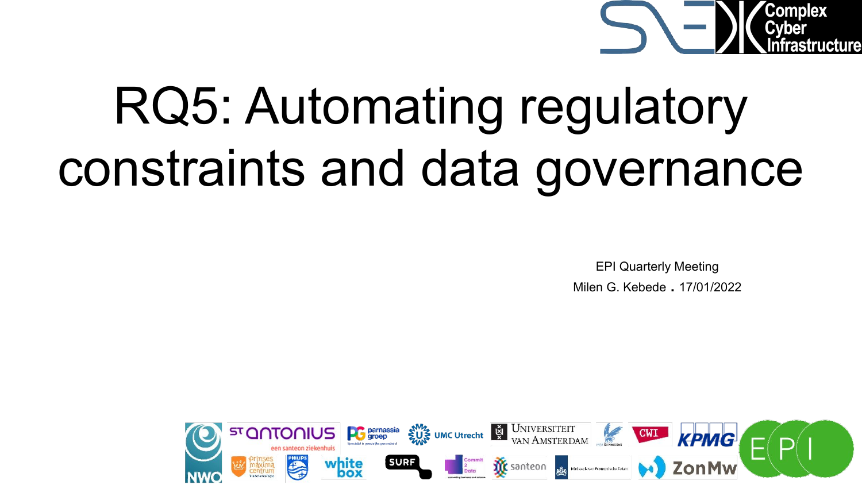

# RQ5: Automating regulatory constraints and data governance

EPI Quarterly Meeting Milen G. Kebede . 17/01/2022

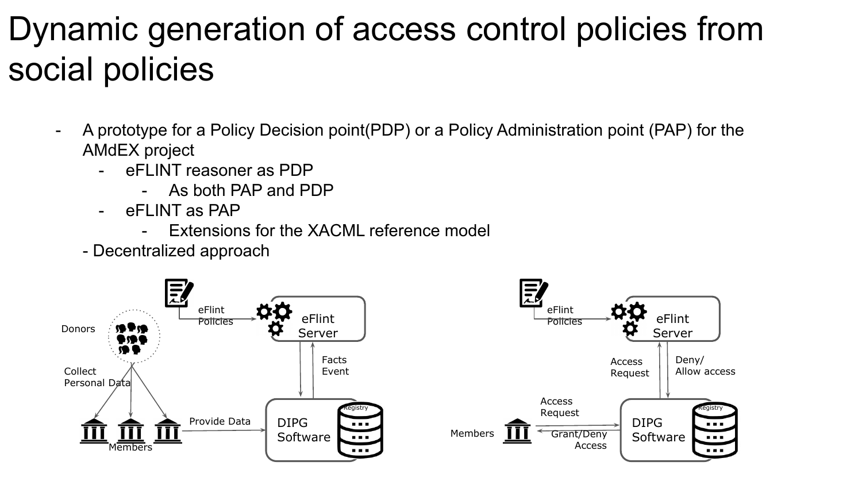## Dynamic generation of access control policies from social policies

- A prototype for a Policy Decision point(PDP) or a Policy Administration point (PAP) for the AMdEX project
	- eFLINT reasoner as PDP
		- As both PAP and PDP
	- eFLINT as PAP
		- Extensions for the XACML reference model
	- Decentralized approach

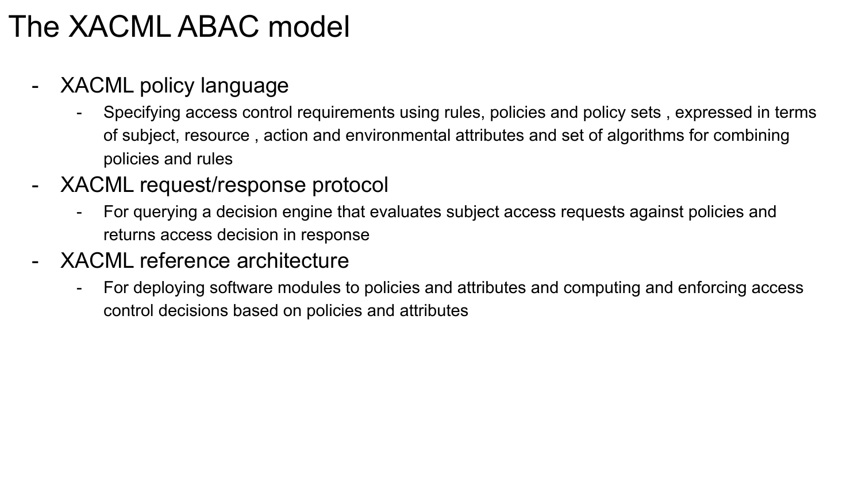### The XACML ABAC model

- XACML policy language
	- Specifying access control requirements using rules, policies and policy sets , expressed in terms of subject, resource , action and environmental attributes and set of algorithms for combining policies and rules
- XACML request/response protocol
	- For querying a decision engine that evaluates subject access requests against policies and returns access decision in response
- XACML reference architecture
	- For deploying software modules to policies and attributes and computing and enforcing access control decisions based on policies and attributes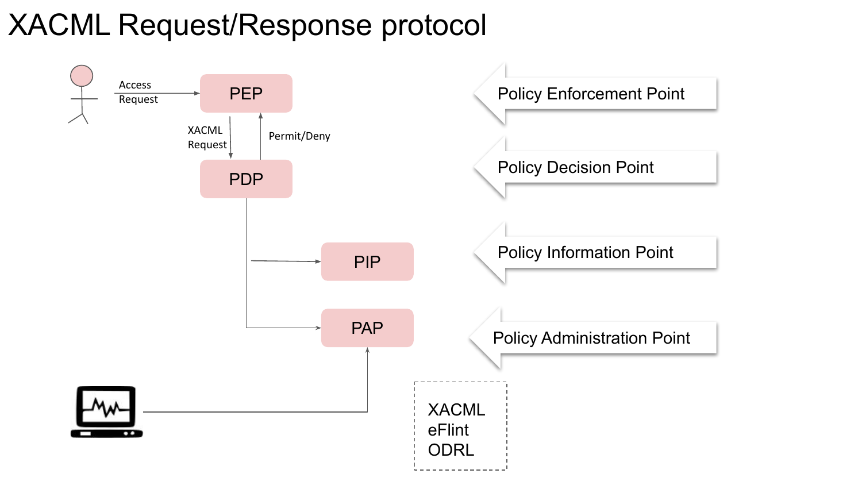### XACML Request/Response protocol

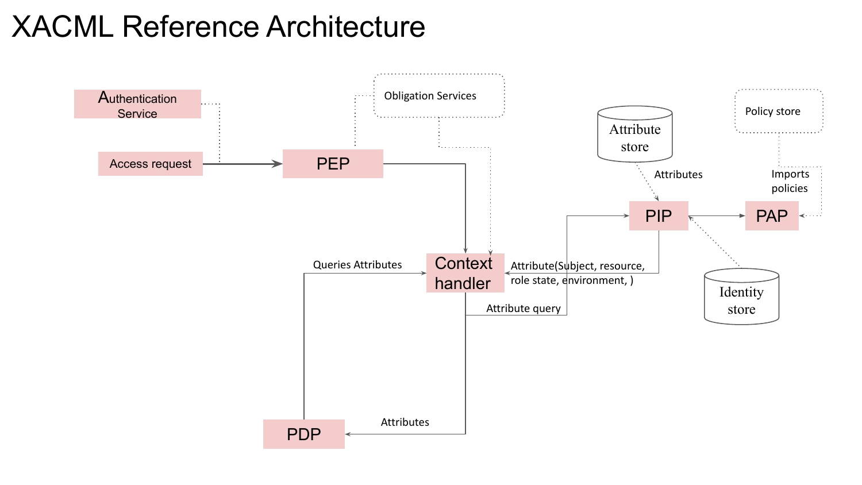#### XACML Reference Architecture

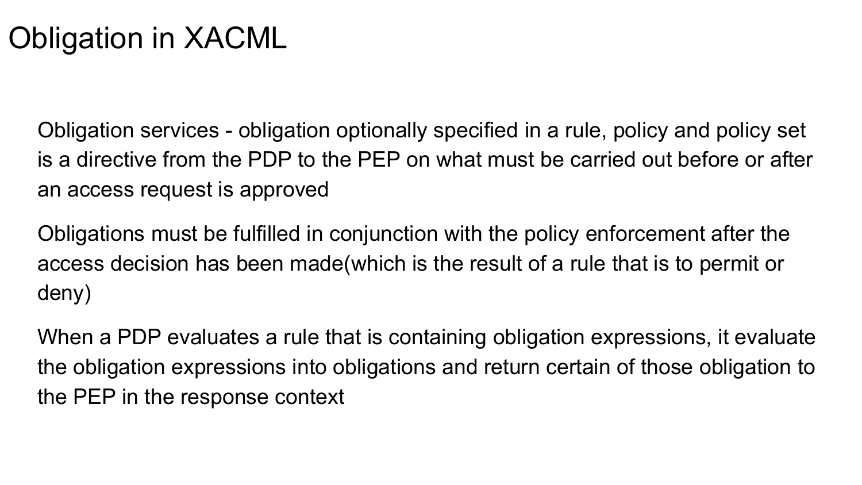### Obligation in XACML

Obligation services - obligation optionally specified in a rule, policy and policy set is a directive from the PDP to the PEP on what must be carried out before or after an access request is approved

Obligations must be fulfilled in conjunction with the policy enforcement after the access decision has been made(which is the result of a rule that is to permit or deny)

When a PDP evaluates a rule that is containing obligation expressions, it evaluate the obligation expressions into obligations and return certain of those obligation to the PEP in the response context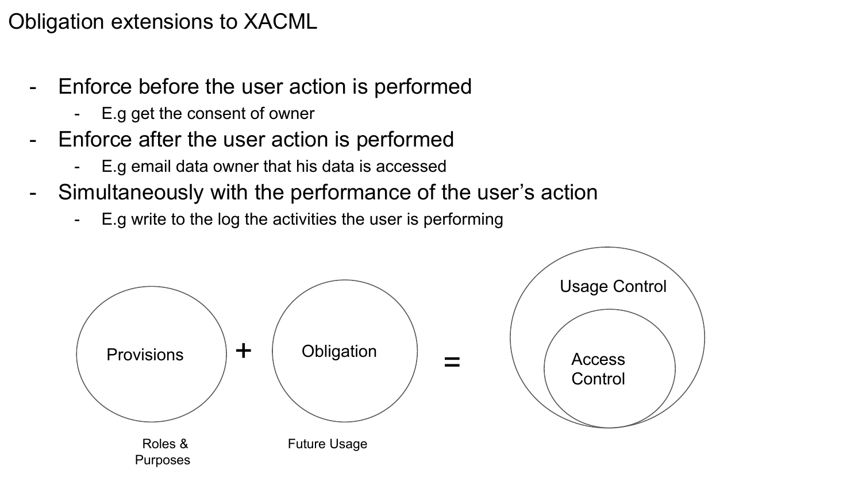#### Obligation extensions to XACML

- Enforce before the user action is performed
	- E.g get the consent of owner
- Enforce after the user action is performed
	- E.g email data owner that his data is accessed
- Simultaneously with the performance of the user's action
	- E.g write to the log the activities the user is performing

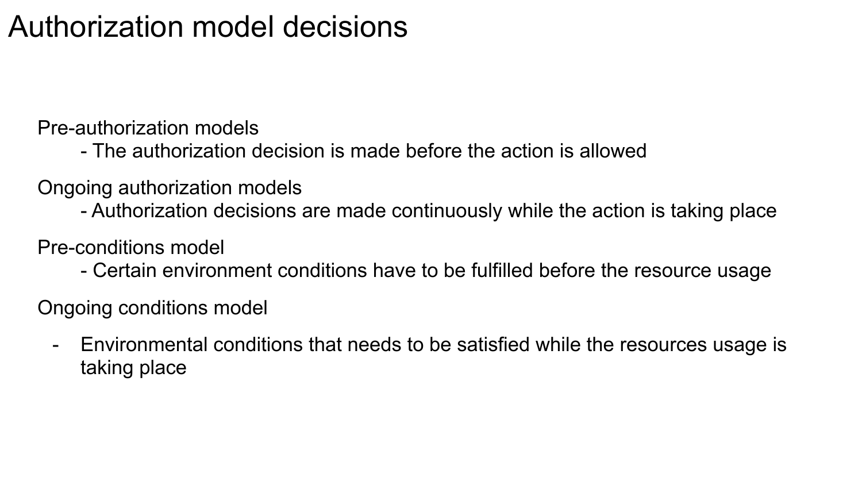#### Authorization model decisions

Pre-authorization models

- The authorization decision is made before the action is allowed
- Ongoing authorization models
	- Authorization decisions are made continuously while the action is taking place

Pre-conditions model

- Certain environment conditions have to be fulfilled before the resource usage

Ongoing conditions model

- Environmental conditions that needs to be satisfied while the resources usage is taking place